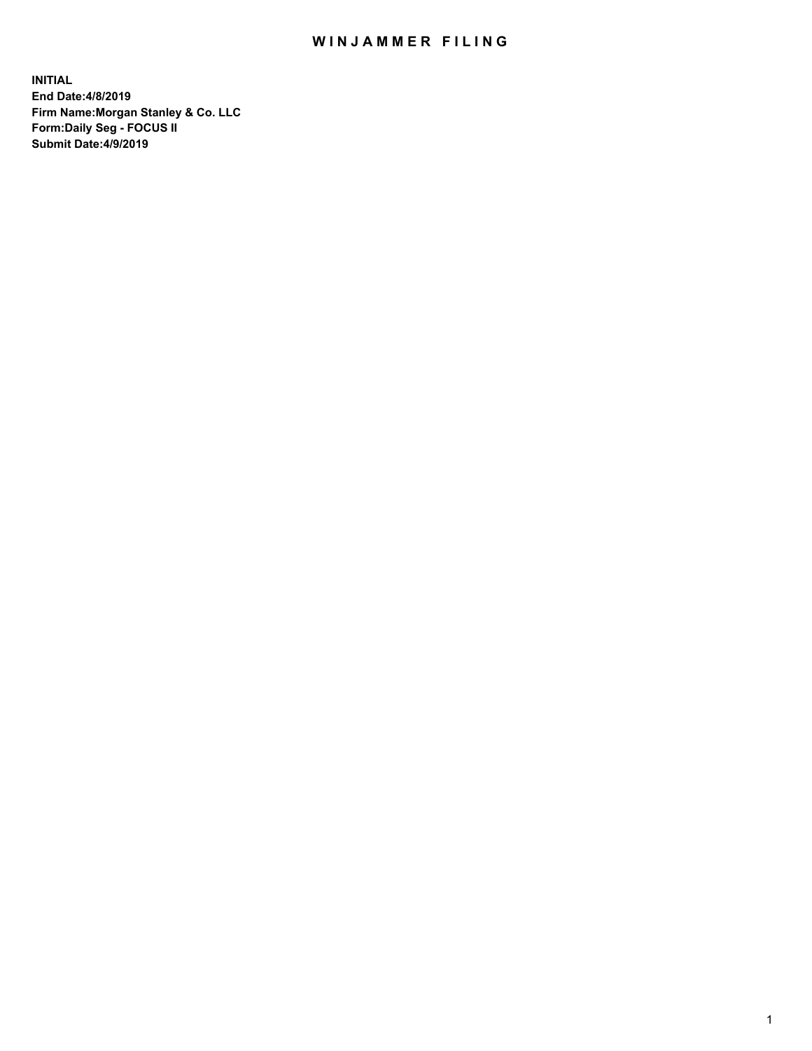## WIN JAMMER FILING

**INITIAL End Date:4/8/2019 Firm Name:Morgan Stanley & Co. LLC Form:Daily Seg - FOCUS II Submit Date:4/9/2019**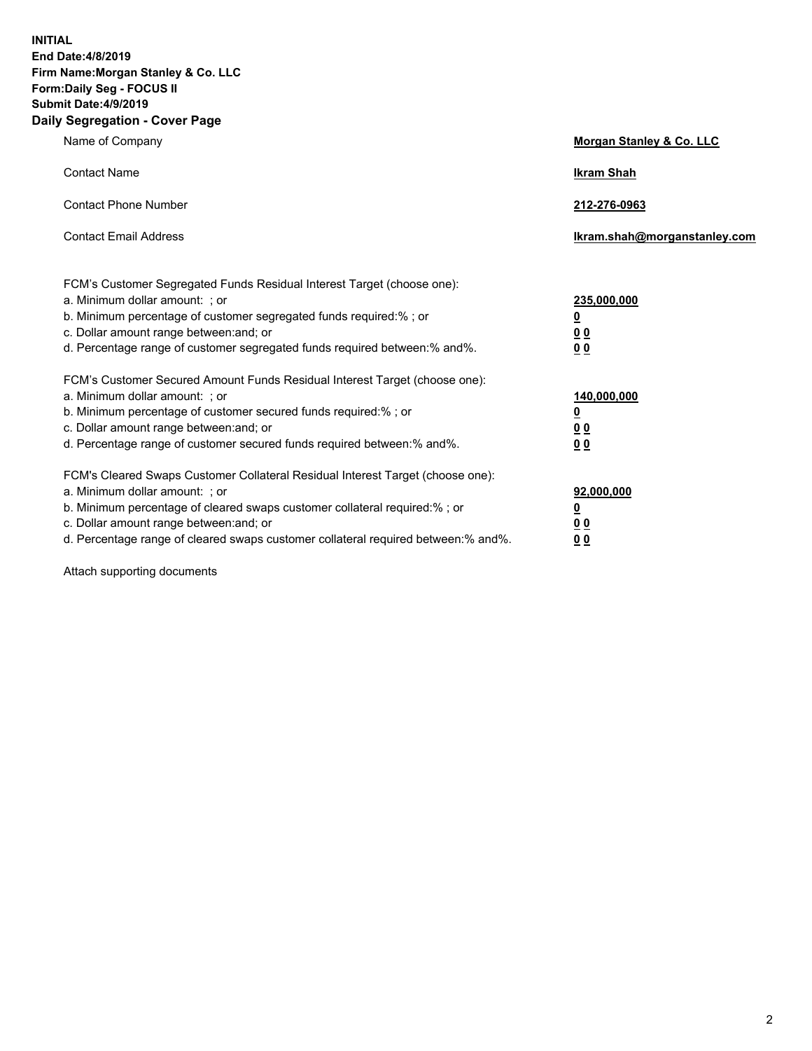**INITIAL End Date:4/8/2019 Firm Name:Morgan Stanley & Co. LLC Form:Daily Seg - FOCUS II Submit Date:4/9/2019 Daily Segregation - Cover Page**

| Name of Company                                                                                                                                                                                                                                                                                                                | Morgan Stanley & Co. LLC                                    |
|--------------------------------------------------------------------------------------------------------------------------------------------------------------------------------------------------------------------------------------------------------------------------------------------------------------------------------|-------------------------------------------------------------|
| <b>Contact Name</b>                                                                                                                                                                                                                                                                                                            | <b>Ikram Shah</b>                                           |
| <b>Contact Phone Number</b>                                                                                                                                                                                                                                                                                                    | 212-276-0963                                                |
| <b>Contact Email Address</b>                                                                                                                                                                                                                                                                                                   | Ikram.shah@morganstanley.com                                |
| FCM's Customer Segregated Funds Residual Interest Target (choose one):<br>a. Minimum dollar amount: ; or<br>b. Minimum percentage of customer segregated funds required:% ; or<br>c. Dollar amount range between: and; or<br>d. Percentage range of customer segregated funds required between:% and%.                         | 235,000,000<br><u>0</u><br>0 <sub>0</sub><br>00             |
| FCM's Customer Secured Amount Funds Residual Interest Target (choose one):<br>a. Minimum dollar amount: ; or<br>b. Minimum percentage of customer secured funds required:% ; or<br>c. Dollar amount range between: and; or<br>d. Percentage range of customer secured funds required between:% and%.                           | 140,000,000<br><u>0</u><br>0 <sub>0</sub><br>0 <sub>0</sub> |
| FCM's Cleared Swaps Customer Collateral Residual Interest Target (choose one):<br>a. Minimum dollar amount: ; or<br>b. Minimum percentage of cleared swaps customer collateral required:% ; or<br>c. Dollar amount range between: and; or<br>d. Percentage range of cleared swaps customer collateral required between:% and%. | 92,000,000<br><u>0</u><br>0 Q<br>0 <sub>0</sub>             |

Attach supporting documents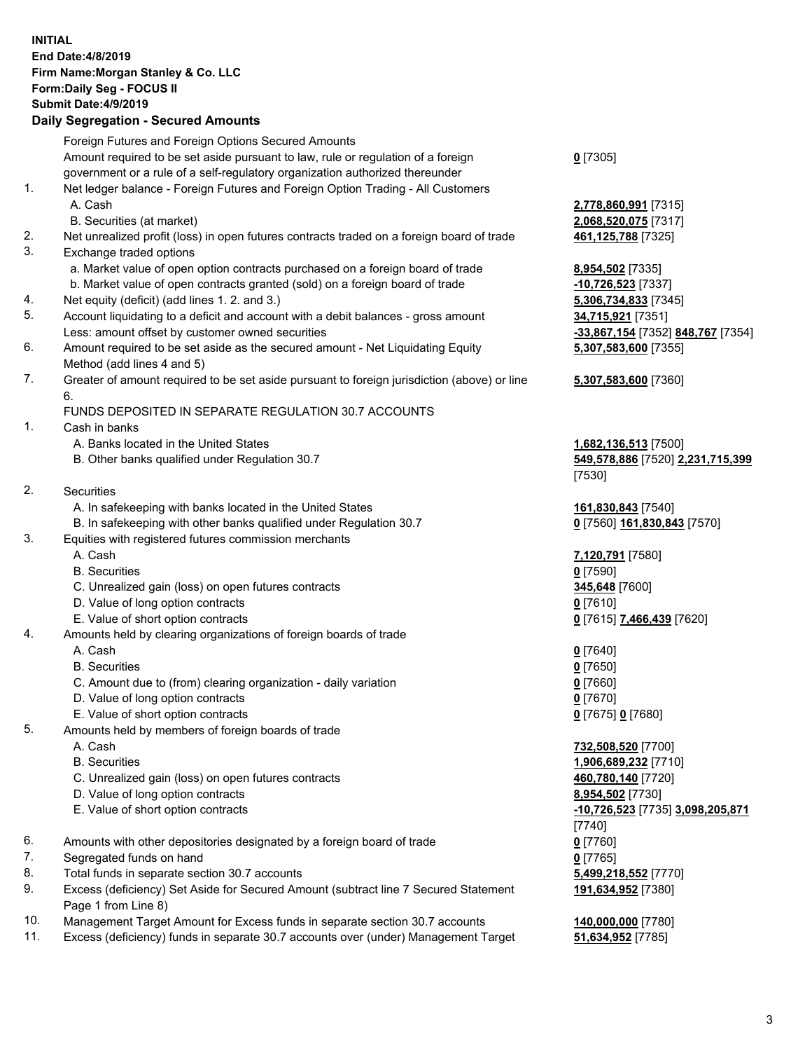## **INITIAL End Date:4/8/2019 Firm Name:Morgan Stanley & Co. LLC Form:Daily Seg - FOCUS II Submit Date:4/9/2019 Daily Segregation - Secured Amounts** Foreign Futures and Foreign Options Secured Amounts Amount required to be set aside pursuant to law, rule or regulation of a foreign government or a rule of a self-regulatory organization authorized thereunder **0** [7305] 1. Net ledger balance - Foreign Futures and Foreign Option Trading - All Customers A. Cash **2,778,860,991** [7315] B. Securities (at market) **2,068,520,075** [7317] 2. Net unrealized profit (loss) in open futures contracts traded on a foreign board of trade **461,125,788** [7325] 3. Exchange traded options a. Market value of open option contracts purchased on a foreign board of trade **8,954,502** [7335] b. Market value of open contracts granted (sold) on a foreign board of trade **-10,726,523** [7337] 4. Net equity (deficit) (add lines 1. 2. and 3.) **5,306,734,833** [7345] 5. Account liquidating to a deficit and account with a debit balances - gross amount **34,715,921** [7351] Less: amount offset by customer owned securities **-33,867,154** [7352] **848,767** [7354] 6. Amount required to be set aside as the secured amount - Net Liquidating Equity Method (add lines 4 and 5) **5,307,583,600** [7355] 7. Greater of amount required to be set aside pursuant to foreign jurisdiction (above) or line 6. **5,307,583,600** [7360] FUNDS DEPOSITED IN SEPARATE REGULATION 30.7 ACCOUNTS 1. Cash in banks A. Banks located in the United States **1,682,136,513** [7500] B. Other banks qualified under Regulation 30.7 **549,578,886** [7520] **2,231,715,399** [7530] 2. Securities A. In safekeeping with banks located in the United States **161,830,843** [7540] B. In safekeeping with other banks qualified under Regulation 30.7 **0** [7560] **161,830,843** [7570] 3. Equities with registered futures commission merchants A. Cash **7,120,791** [7580] B. Securities **0** [7590] C. Unrealized gain (loss) on open futures contracts **345,648** [7600] D. Value of long option contracts **0** [7610] E. Value of short option contracts **0** [7615] **7,466,439** [7620] 4. Amounts held by clearing organizations of foreign boards of trade A. Cash **0** [7640] B. Securities **0** [7650] C. Amount due to (from) clearing organization - daily variation **0** [7660] D. Value of long option contracts **0** [7670] E. Value of short option contracts **0** [7675] **0** [7680] 5. Amounts held by members of foreign boards of trade A. Cash **732,508,520** [7700] B. Securities **1,906,689,232** [7710] C. Unrealized gain (loss) on open futures contracts **460,780,140** [7720] D. Value of long option contracts **8,954,502** [7730] E. Value of short option contracts **-10,726,523** [7735] **3,098,205,871** [7740] 6. Amounts with other depositories designated by a foreign board of trade **0** [7760] 7. Segregated funds on hand **0** [7765] 8. Total funds in separate section 30.7 accounts **5,499,218,552** [7770] 9. Excess (deficiency) Set Aside for Secured Amount (subtract line 7 Secured Statement Page 1 from Line 8) **191,634,952** [7380] 10. Management Target Amount for Excess funds in separate section 30.7 accounts **140,000,000** [7780]

- 
- 11. Excess (deficiency) funds in separate 30.7 accounts over (under) Management Target **51,634,952** [7785]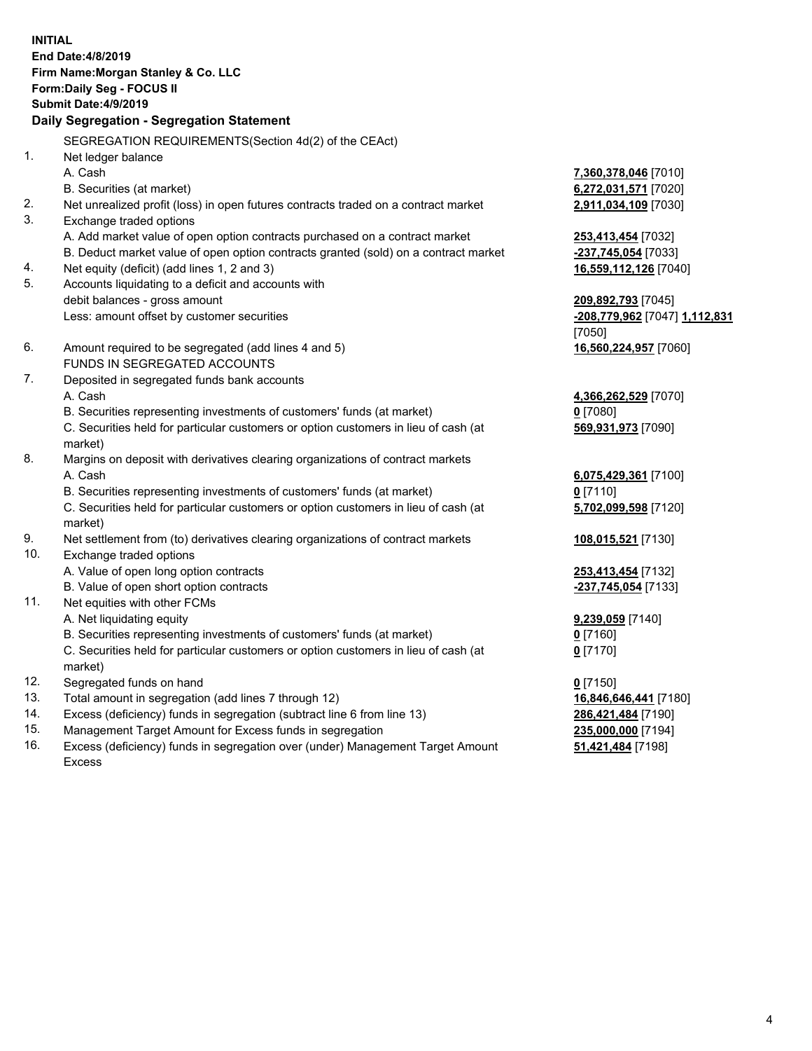**INITIAL End Date:4/8/2019 Firm Name:Morgan Stanley & Co. LLC Form:Daily Seg - FOCUS II Submit Date:4/9/2019 Daily Segregation - Segregation Statement** SEGREGATION REQUIREMENTS(Section 4d(2) of the CEAct) 1. Net ledger balance A. Cash **7,360,378,046** [7010] B. Securities (at market) **6,272,031,571** [7020] 2. Net unrealized profit (loss) in open futures contracts traded on a contract market **2,911,034,109** [7030] 3. Exchange traded options A. Add market value of open option contracts purchased on a contract market **253,413,454** [7032] B. Deduct market value of open option contracts granted (sold) on a contract market **-237,745,054** [7033] 4. Net equity (deficit) (add lines 1, 2 and 3) **16,559,112,126** [7040] 5. Accounts liquidating to a deficit and accounts with debit balances - gross amount **209,892,793** [7045] Less: amount offset by customer securities **-208,779,962** [7047] **1,112,831** [7050] 6. Amount required to be segregated (add lines 4 and 5) **16,560,224,957** [7060] FUNDS IN SEGREGATED ACCOUNTS 7. Deposited in segregated funds bank accounts A. Cash **4,366,262,529** [7070] B. Securities representing investments of customers' funds (at market) **0** [7080] C. Securities held for particular customers or option customers in lieu of cash (at market) **569,931,973** [7090] 8. Margins on deposit with derivatives clearing organizations of contract markets A. Cash **6,075,429,361** [7100] B. Securities representing investments of customers' funds (at market) **0** [7110] C. Securities held for particular customers or option customers in lieu of cash (at market) **5,702,099,598** [7120] 9. Net settlement from (to) derivatives clearing organizations of contract markets **108,015,521** [7130] 10. Exchange traded options A. Value of open long option contracts **253,413,454** [7132] B. Value of open short option contracts **-237,745,054** [7133] 11. Net equities with other FCMs A. Net liquidating equity **9,239,059** [7140] B. Securities representing investments of customers' funds (at market) **0** [7160] C. Securities held for particular customers or option customers in lieu of cash (at market) **0** [7170] 12. Segregated funds on hand **0** [7150] 13. Total amount in segregation (add lines 7 through 12) **16,846,646,441** [7180] 14. Excess (deficiency) funds in segregation (subtract line 6 from line 13) **286,421,484** [7190]

- 15. Management Target Amount for Excess funds in segregation **235,000,000** [7194]
- 16. Excess (deficiency) funds in segregation over (under) Management Target Amount Excess

**51,421,484** [7198]